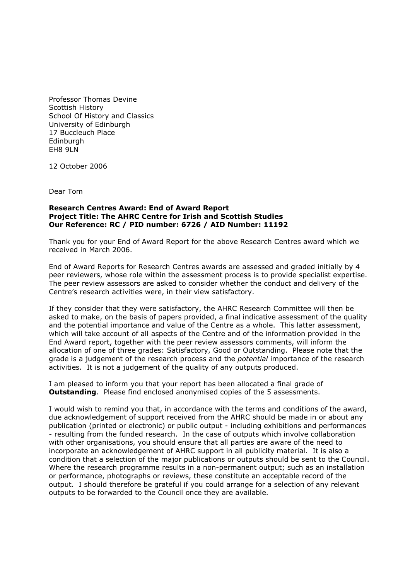Professor Thomas Devine Scottish History School Of History and Classics University of Edinburgh 17 Buccleuch Place **Edinburgh** EH8 9LN

12 October 2006

Dear Tom

## **Research Centres Award: End of Award Report Project Title: The AHRC Centre for Irish and Scottish Studies Our Reference: RC / PID number: 6726 / AID Number: 11192**

Thank you for your End of Award Report for the above Research Centres award which we received in March 2006.

End of Award Reports for Research Centres awards are assessed and graded initially by 4 peer reviewers, whose role within the assessment process is to provide specialist expertise. The peer review assessors are asked to consider whether the conduct and delivery of the Centre's research activities were, in their view satisfactory.

If they consider that they were satisfactory, the AHRC Research Committee will then be asked to make, on the basis of papers provided, a final indicative assessment of the quality and the potential importance and value of the Centre as a whole. This latter assessment, which will take account of all aspects of the Centre and of the information provided in the End Award report, together with the peer review assessors comments, will inform the allocation of one of three grades: Satisfactory, Good or Outstanding. Please note that the grade is a judgement of the research process and the *potential* importance of the research activities. It is not a judgement of the quality of any outputs produced.

I am pleased to inform you that your report has been allocated a final grade of **Outstanding.** Please find enclosed anonymised copies of the 5 assessments.

I would wish to remind you that, in accordance with the terms and conditions of the award, due acknowledgement of support received from the AHRC should be made in or about any publication (printed or electronic) or public output - including exhibitions and performances - resulting from the funded research. In the case of outputs which involve collaboration with other organisations, you should ensure that all parties are aware of the need to incorporate an acknowledgement of AHRC support in all publicity material. It is also a condition that a selection of the major publications or outputs should be sent to the Council. Where the research programme results in a non-permanent output; such as an installation or performance, photographs or reviews, these constitute an acceptable record of the output. I should therefore be grateful if you could arrange for a selection of any relevant outputs to be forwarded to the Council once they are available.